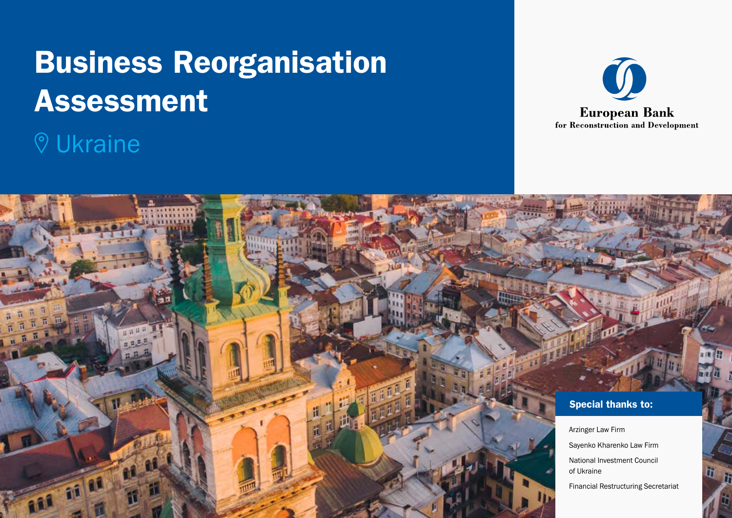# Business Reorganisation Assessment

## Ukraine



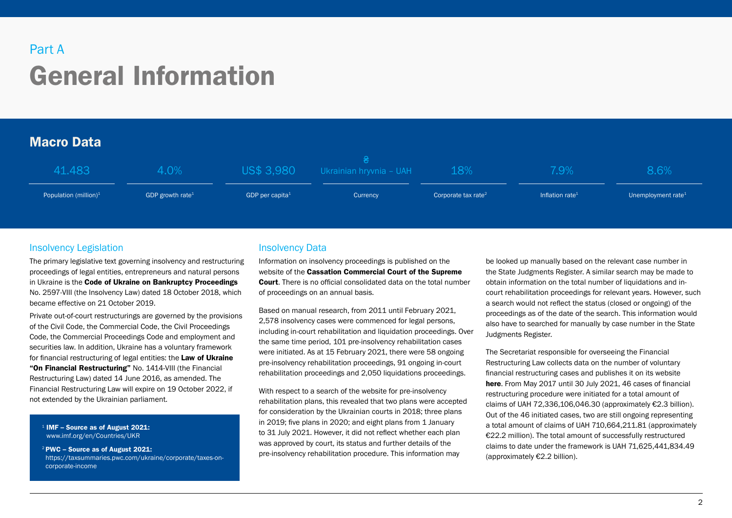## General Information Part A

## Macro Data

| 41.483                   | 4.0%                         |                             | US\$ 3,980 Ukrainian hryvnia - UAH | 18%                             | $2.9\%$                     | 8.6%                  |
|--------------------------|------------------------------|-----------------------------|------------------------------------|---------------------------------|-----------------------------|-----------------------|
| Population (million) $1$ | GDP growth rate <sup>1</sup> | GDP per capita <sup>1</sup> | Currency                           | Corporate tax rate <sup>2</sup> | Inflation rate <sup>1</sup> | Unemployment rate $1$ |

## Insolvency Legislation

The primary legislative text governing insolvency and restructuring proceedings of legal entities, entrepreneurs and natural persons in Ukraine is the [Code of Ukraine on Bankruptcy Proceedings](https://zakon.rada.gov.ua/laws/show/2597-19#Text) No. 2597-VIII (the Insolvency Law) dated 18 October 2018, which became effective on 21 October 2019.

Private out-of-court restructurings are governed by the provisions of the Civil Code, the Commercial Code, the Civil Proceedings Code, the Commercial Proceedings Code and employment and securities law. In addition, Ukraine has a voluntary framework for financial restructuring of legal entities: the Law of Ukraine ["On Financial Restructuring"](https://fr.org.ua/ua/zakon-pro-finansovu-restrukturizatsiyu.html) No. 1414-VIII (the Financial Restructuring Law) dated 14 June 2016, as amended. The Financial Restructuring Law will expire on 19 October 2022, if not extended by the Ukrainian parliament.

 $1$  IMF – Source as of August 2021: [www.imf.org/en/Countries/UKR](https://www.imf.org/en/Countries/UKR)

<sup>2</sup> PWC – Source as of August 2021: [https://taxsummaries.pwc.com/ukraine/corporate/taxes-on](https://taxsummaries.pwc.com/ukraine/corporate/taxes-on-corporate-income)[corporate-income](https://taxsummaries.pwc.com/ukraine/corporate/taxes-on-corporate-income)

## Insolvency Data

Information on insolvency proceedings is published on the website of the [Cassation Commercial Court of the Supreme](https://supreme.court.gov.ua/supreme/pro_sud/og_pov/)  [Court](https://supreme.court.gov.ua/supreme/pro_sud/og_pov/). There is no official consolidated data on the total number of proceedings on an annual basis.

Based on manual research, from 2011 until February 2021, 2.578 insolvency cases were commenced for legal persons. including in-court rehabilitation and liquidation proceedings. Over the same time period, 101 pre-insolvency rehabilitation cases were initiated. As at 15 February 2021, there were 58 ongoing pre-insolvency rehabilitation proceedings, 91 ongoing in-court rehabilitation proceedings and 2,050 liquidations proceedings.

With respect to a search of the website for pre-insolvency rehabilitation plans, this revealed that two plans were accepted for consideration by the Ukrainian courts in 2018; three plans in 2019; five plans in 2020; and eight plans from 1 January to 31 July 2021. However, it did not reflect whether each plan was approved by court, its status and further details of the pre-insolvency rehabilitation procedure. This information may

be looked up manually based on the relevant case number in the State Judgments Register. A similar search may be made to obtain information on the total number of liquidations and incourt rehabilitation proceedings for relevant years. However, such a search would not reflect the status (closed or ongoing) of the proceedings as of the date of the search. This information would also have to searched for manually by case number in the State Judgments Register.

The Secretariat responsible for overseeing the Financial Restructuring Law collects data on the number of voluntary financial restructuring cases and publishes it on its website [here](https://fr.org.ua/en/publikatsiyi-po-protseduri-finansovoyi-restrukturizatsiyi.html). From May 2017 until 30 July 2021, 46 cases of financial restructuring procedure were initiated for a total amount of claims of UAH 72,336,106,046.30 (approximately €2.3 billion). Out of the 46 initiated cases, two are still ongoing representing a total amount of claims of UAH 710,664,211.81 (approximately €22.2 million). The total amount of successfully restructured claims to date under the framework is UAH 71,625,441,834.49 (approximately €2.2 billion).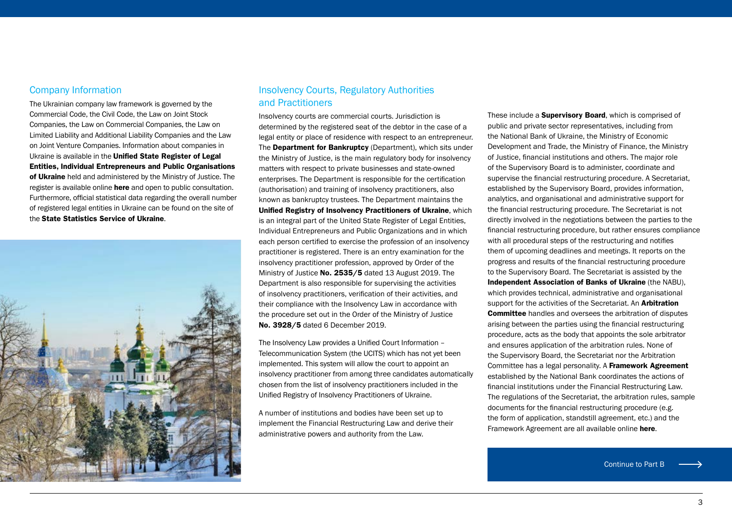### Company Information

The Ukrainian company law framework is governed by the Commercial Code, the Civil Code, the Law on Joint Stock Companies, the Law on Commercial Companies, the Law on Limited Liability and Additional Liability Companies and the Law on Joint Venture Companies. Information about companies in Ukraine is available in the Unified State Register of Legal [Entities, Individual Entrepreneurs and Public Organisations](https://usr.minjust.gov.ua/content/free-search)  [of Ukraine](https://usr.minjust.gov.ua/content/free-search) held and administered by the Ministry of Justice. The register is available online **[here](file:///C:/Users/BridgeC/AppData/Local/Microsoft/Windows/INetCache/Content.Outlook/02J2XRJA/usr.minjust.gov.ua/ua/freesearch)** and open to public consultation. Furthermore, official statistical data regarding the overall number of registered legal entities in Ukraine can be found on the site of the [State Statistics Service of Ukraine](http://www.ukrstat.gov.ua/edrpoy/ukr/EDRPU_2020/ks_opfg/ks_opfg_0120.htm).



## Insolvency Courts, Regulatory Authorities and Practitioners

Insolvency courts are commercial courts. Jurisdiction is determined by the registered seat of the debtor in the case of a legal entity or place of residence with respect to an entrepreneur. The [Department for Bankruptcy](https://minjust.gov.ua/m/departament-z-pitan-bankrutstva) (Department), which sits under the Ministry of Justice, is the main regulatory body for insolvency matters with respect to private businesses and state-owned enterprises. The Department is responsible for the certification (authorisation) and training of insolvency practitioners, also known as bankruptcy trustees. The Department maintains the [Unified Registry of Insolvency Practitioners of Ukraine](https://ak.minjust.gov.ua/), which is an integral part of the United State Register of Legal Entities, Individual Entrepreneurs and Public Organizations and in which each person certified to exercise the profession of an insolvency practitioner is registered. There is an entry examination for the insolvency practitioner profession, approved by Order of the Ministry of Justice [No. 2535/5](https://zakon.rada.gov.ua/laws/show/z0925-19#Text) dated 13 August 2019. The Department is also responsible for supervising the activities of insolvency practitioners, verification of their activities, and their compliance with the Insolvency Law in accordance with the procedure set out in the Order of the Ministry of Justice [No. 3928/5](https://zakon.rada.gov.ua/laws/show/z1228-19#Text) dated 6 December 2019.

The Insolvency Law provides a Unified Court Information – Telecommunication System (the UCITS) which has not yet been implemented. This system will allow the court to appoint an insolvency practitioner from among three candidates automatically chosen from the list of insolvency practitioners included in the Unified Registry of Insolvency Practitioners of Ukraine.

A number of institutions and bodies have been set up to implement the Financial Restructuring Law and derive their administrative powers and authority from the Law.

These include a **[Supervisory Board](https://fr.org.ua/ua/povnovazhennya-sposterezhnoyi-radi.html)**, which is comprised of public and private sector representatives, including from the National Bank of Ukraine, the Ministry of Economic Development and Trade, the Ministry of Finance, the Ministry of Justice, financial institutions and others. The major role of the Supervisory Board is to administer, coordinate and supervise the financial restructuring procedure. A Secretariat, established by the Supervisory Board, provides information, analytics, and organisational and administrative support for the financial restructuring procedure. The Secretariat is not directly involved in the negotiations between the parties to the financial restructuring procedure, but rather ensures compliance with all procedural steps of the restructuring and notifies them of upcoming deadlines and meetings. It reports on the progress and results of the financial restructuring procedure to the Supervisory Board. The Secretariat is assisted by the [Independent Association of Banks of Ukraine](https://nabu.ua/) (the NABU), which provides technical, administrative and organisational support for the activities of the Secretariat. An **Arbitration** [Committee](https://fr.org.ua/ua/povnovazhennya-arbitrazhnogo-komitetu.html) handles and oversees the arbitration of disputes arising between the parties using the financial restructuring procedure, acts as the body that appoints the sole arbitrator and ensures application of the arbitration rules. None of the Supervisory Board, the Secretariat nor the Arbitration Committee has a legal personality. A Framework Agreement established by the National Bank coordinates the actions of financial institutions under the Financial Restructuring Law. The regulations of the Secretariat, the arbitration rules, sample documents for the financial restructuring procedure (e.g. the form of application, standstill agreement, etc.) and the Framework Agreement are all available online [here](https://fr.org.ua/en/karta-sayta.html).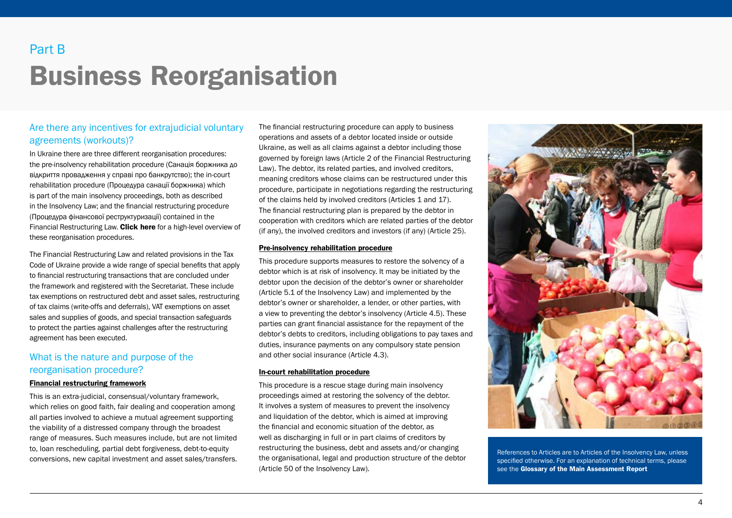## Business Reorganisation Part B

## Are there any incentives for extrajudicial voluntary agreements (workouts)?

In Ukraine there are three different reorganisation procedures: the pre-insolvency rehabilitation procedure (Санація боржника до відкриття провадження у справі про банкрутство); the in-court rehabilitation procedure (Процедура санації боржника) which is part of the main insolvency proceedings, both as described in the Insolvency Law; and the financial restructuring procedure (Процедура фінансової реструктуризації) contained in the Financial Restructuring Law. [Click here](#page-11-0) for a high-level overview of these reorganisation procedures.

The Financial Restructuring Law and related provisions in the Tax Code of Ukraine provide a wide range of special benefits that apply to financial restructuring transactions that are concluded under the framework and registered with the Secretariat. These include tax exemptions on restructured debt and asset sales, restructuring of tax claims (write-offs and deferrals), VAT exemptions on asset sales and supplies of goods, and special transaction safeguards to protect the parties against challenges after the restructuring agreement has been executed.

## What is the nature and purpose of the reorganisation procedure?

#### Financial restructuring framework

This is an extra-judicial, consensual/voluntary framework, which relies on good faith, fair dealing and cooperation among all parties involved to achieve a mutual agreement supporting the viability of a distressed company through the broadest range of measures. Such measures include, but are not limited to, loan rescheduling, partial debt forgiveness, debt-to-equity conversions, new capital investment and asset sales/transfers.

The financial restructuring procedure can apply to business operations and assets of a debtor located inside or outside Ukraine, as well as all claims against a debtor including those governed by foreign laws (Article 2 of the Financial Restructuring Law). The debtor, its related parties, and involved creditors, meaning creditors whose claims can be restructured under this procedure, participate in negotiations regarding the restructuring of the claims held by involved creditors (Articles 1 and 17). The financial restructuring plan is prepared by the debtor in cooperation with creditors which are related parties of the debtor (if any), the involved creditors and investors (if any) (Article 25).

#### Pre-insolvency rehabilitation procedure

This procedure supports measures to restore the solvency of a debtor which is at risk of insolvency. It may be initiated by the debtor upon the decision of the debtor's owner or shareholder (Article 5.1 of the Insolvency Law) and implemented by the debtor's owner or shareholder, a lender, or other parties, with a view to preventing the debtor's insolvency (Article 4.5). These parties can grant financial assistance for the repayment of the debtor's debts to creditors, including obligations to pay taxes and duties, insurance payments on any compulsory state pension and other social insurance (Article 4.3).

#### In-court rehabilitation procedure

This procedure is a rescue stage during main insolvency proceedings aimed at restoring the solvency of the debtor. It involves a system of measures to prevent the insolvency and liquidation of the debtor, which is aimed at improving the financial and economic situation of the debtor, as well as discharging in full or in part claims of creditors by restructuring the business, debt and assets and/or changing the organisational, legal and production structure of the debtor (Article 50 of the Insolvency Law).



References to Articles are to Articles of the Insolvency Law, unless specified otherwise. For an explanation of technical terms, please see the Glossary of the Main Assessment Report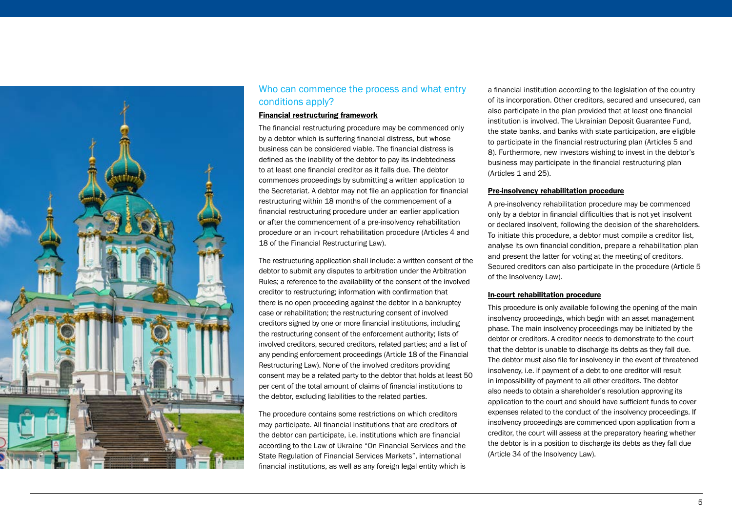

## Who can commence the process and what entry conditions apply?

#### Financial restructuring framework

The financial restructuring procedure may be commenced only by a debtor which is suffering financial distress, but whose business can be considered viable. The financial distress is defined as the inability of the debtor to pay its indebtedness to at least one financial creditor as it falls due. The debtor commences proceedings by submitting a written application to the Secretariat. A debtor may not file an application for financial restructuring within 18 months of the commencement of a financial restructuring procedure under an earlier application or after the commencement of a pre-insolvency rehabilitation procedure or an in-court rehabilitation procedure (Articles 4 and 18 of the Financial Restructuring Law).

The restructuring application shall include: a written consent of the debtor to submit any disputes to arbitration under the Arbitration Rules; a reference to the availability of the consent of the involved creditor to restructuring; information with confirmation that there is no open proceeding against the debtor in a bankruptcy case or rehabilitation; the restructuring consent of involved creditors signed by one or more financial institutions, including the restructuring consent of the enforcement authority; lists of involved creditors, secured creditors, related parties; and a list of any pending enforcement proceedings (Article 18 of the Financial Restructuring Law). None of the involved creditors providing consent may be a related party to the debtor that holds at least 50 per cent of the total amount of claims of financial institutions to the debtor, excluding liabilities to the related parties.

The procedure contains some restrictions on which creditors may participate. All financial institutions that are creditors of the debtor can participate, i.e. institutions which are financial according to the Law of Ukraine "On Financial Services and the State Regulation of Financial Services Markets", international financial institutions, as well as any foreign legal entity which is a financial institution according to the legislation of the country of its incorporation. Other creditors, secured and unsecured, can also participate in the plan provided that at least one financial institution is involved. The Ukrainian Deposit Guarantee Fund, the state banks, and banks with state participation, are eligible to participate in the financial restructuring plan (Articles 5 and 8). Furthermore, new investors wishing to invest in the debtor's business may participate in the financial restructuring plan (Articles 1 and 25).

#### Pre-insolvency rehabilitation procedure

A pre-insolvency rehabilitation procedure may be commenced only by a debtor in financial difficulties that is not yet insolvent or declared insolvent, following the decision of the shareholders. To initiate this procedure, a debtor must compile a creditor list, analyse its own financial condition, prepare a rehabilitation plan and present the latter for voting at the meeting of creditors. Secured creditors can also participate in the procedure (Article 5 of the Insolvency Law).

#### In-court rehabilitation procedure

This procedure is only available following the opening of the main insolvency proceedings, which begin with an asset management phase. The main insolvency proceedings may be initiated by the debtor or creditors. A creditor needs to demonstrate to the court that the debtor is unable to discharge its debts as they fall due. The debtor must also file for insolvency in the event of threatened insolvency, i.e. if payment of a debt to one creditor will result in impossibility of payment to all other creditors. The debtor also needs to obtain a shareholder's resolution approving its application to the court and should have sufficient funds to cover expenses related to the conduct of the insolvency proceedings. If insolvency proceedings are commenced upon application from a creditor, the court will assess at the preparatory hearing whether the debtor is in a position to discharge its debts as they fall due (Article 34 of the Insolvency Law).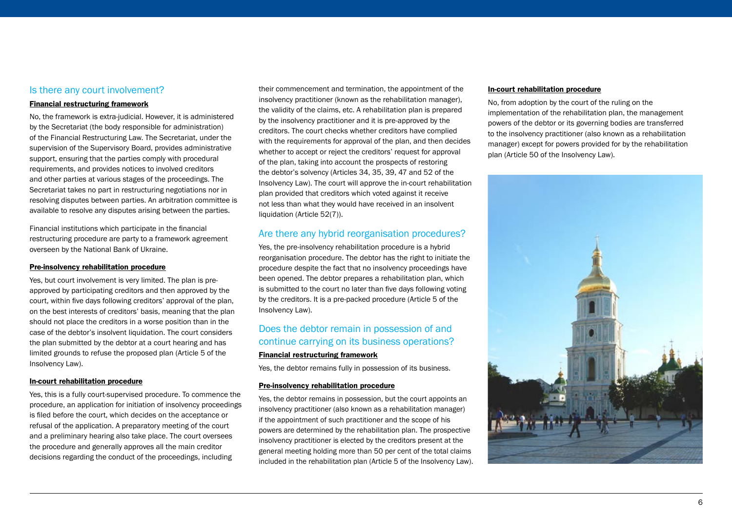### Is there any court involvement?

#### Financial restructuring framework

No, the framework is extra-judicial. However, it is administered by the Secretariat (the body responsible for administration) of the Financial Restructuring Law. The Secretariat, under the supervision of the Supervisory Board, provides administrative support, ensuring that the parties comply with procedural requirements, and provides notices to involved creditors and other parties at various stages of the proceedings. The Secretariat takes no part in restructuring negotiations nor in resolving disputes between parties. An arbitration committee is available to resolve any disputes arising between the parties.

Financial institutions which participate in the financial restructuring procedure are party to a framework agreement overseen by the National Bank of Ukraine.

#### Pre-insolvency rehabilitation procedure

Yes, but court involvement is very limited. The plan is preapproved by participating creditors and then approved by the court, within five days following creditors' approval of the plan, on the best interests of creditors' basis, meaning that the plan should not place the creditors in a worse position than in the case of the debtor's insolvent liquidation. The court considers the plan submitted by the debtor at a court hearing and has limited grounds to refuse the proposed plan (Article 5 of the Insolvency Law).

#### In-court rehabilitation procedure

Yes, this is a fully court-supervised procedure. To commence the procedure, an application for initiation of insolvency proceedings is filed before the court, which decides on the acceptance or refusal of the application. A preparatory meeting of the court and a preliminary hearing also take place. The court oversees the procedure and generally approves all the main creditor decisions regarding the conduct of the proceedings, including

their commencement and termination, the appointment of the insolvency practitioner (known as the rehabilitation manager), the validity of the claims, etc. A rehabilitation plan is prepared by the insolvency practitioner and it is pre-approved by the creditors. The court checks whether creditors have complied with the requirements for approval of the plan, and then decides whether to accept or reject the creditors' request for approval of the plan, taking into account the prospects of restoring the debtor's solvency (Articles 34, 35, 39, 47 and 52 of the Insolvency Law). The court will approve the in-court rehabilitation plan provided that creditors which voted against it receive not less than what they would have received in an insolvent liquidation (Article 52(7)).

#### Are there any hybrid reorganisation procedures?

Yes, the pre-insolvency rehabilitation procedure is a hybrid reorganisation procedure. The debtor has the right to initiate the procedure despite the fact that no insolvency proceedings have been opened. The debtor prepares a rehabilitation plan, which is submitted to the court no later than five days following voting by the creditors. It is a pre-packed procedure (Article 5 of the Insolvency Law).

## Does the debtor remain in possession of and continue carrying on its business operations?

### Financial restructuring framework

Yes, the debtor remains fully in possession of its business.

#### Pre-insolvency rehabilitation procedure

Yes, the debtor remains in possession, but the court appoints an insolvency practitioner (also known as a rehabilitation manager) if the appointment of such practitioner and the scope of his powers are determined by the rehabilitation plan. The prospective insolvency practitioner is elected by the creditors present at the general meeting holding more than 50 per cent of the total claims included in the rehabilitation plan (Article 5 of the Insolvency Law).

#### In-court rehabilitation procedure

No, from adoption by the court of the ruling on the implementation of the rehabilitation plan, the management powers of the debtor or its governing bodies are transferred to the insolvency practitioner (also known as a rehabilitation manager) except for powers provided for by the rehabilitation plan (Article 50 of the Insolvency Law).

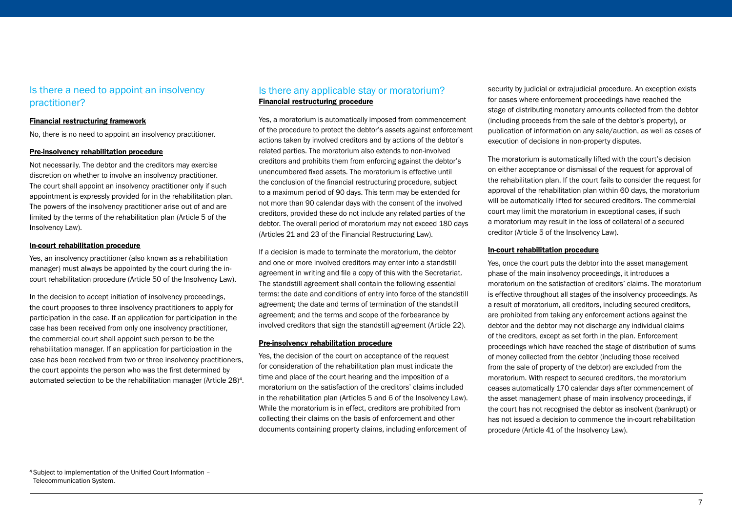## Is there a need to appoint an insolvency practitioner?

#### Financial restructuring framework

No, there is no need to appoint an insolvency practitioner.

#### Pre-insolvency rehabilitation procedure

Not necessarily. The debtor and the creditors may exercise discretion on whether to involve an insolvency practitioner. The court shall appoint an insolvency practitioner only if such appointment is expressly provided for in the rehabilitation plan. The powers of the insolvency practitioner arise out of and are limited by the terms of the rehabilitation plan (Article 5 of the Insolvency Law).

#### In-court rehabilitation procedure

Yes, an insolvency practitioner (also known as a rehabilitation manager) must always be appointed by the court during the incourt rehabilitation procedure (Article 50 of the Insolvency Law).

In the decision to accept initiation of insolvency proceedings, the court proposes to three insolvency practitioners to apply for participation in the case. If an application for participation in the case has been received from only one insolvency practitioner, the commercial court shall appoint such person to be the rehabilitation manager. If an application for participation in the case has been received from two or three insolvency practitioners, the court appoints the person who was the first determined by automated selection to be the rehabilitation manager (Article 28)4.

## Is there any applicable stay or moratorium? Financial restructuring procedure

Yes, a moratorium is automatically imposed from commencement of the procedure to protect the debtor's assets against enforcement actions taken by involved creditors and by actions of the debtor's related parties. The moratorium also extends to non-involved creditors and prohibits them from enforcing against the debtor's unencumbered fixed assets. The moratorium is effective until the conclusion of the financial restructuring procedure, subject to a maximum period of 90 days. This term may be extended for not more than 90 calendar days with the consent of the involved creditors, provided these do not include any related parties of the debtor. The overall period of moratorium may not exceed 180 days (Articles 21 and 23 of the Financial Restructuring Law).

If a decision is made to terminate the moratorium, the debtor and one or more involved creditors may enter into a standstill agreement in writing and file a copy of this with the Secretariat. The standstill agreement shall contain the following essential terms: the date and conditions of entry into force of the standstill agreement; the date and terms of termination of the standstill agreement; and the terms and scope of the forbearance by involved creditors that sign the standstill agreement (Article 22).

#### Pre-insolvency rehabilitation procedure

Yes, the decision of the court on acceptance of the request for consideration of the rehabilitation plan must indicate the time and place of the court hearing and the imposition of a moratorium on the satisfaction of the creditors' claims included in the rehabilitation plan (Articles 5 and 6 of the Insolvency Law). While the moratorium is in effect, creditors are prohibited from collecting their claims on the basis of enforcement and other documents containing property claims, including enforcement of

security by judicial or extrajudicial procedure. An exception exists for cases where enforcement proceedings have reached the stage of distributing monetary amounts collected from the debtor (including proceeds from the sale of the debtor's property), or publication of information on any sale/auction, as well as cases of execution of decisions in non-property disputes.

The moratorium is automatically lifted with the court's decision on either acceptance or dismissal of the request for approval of the rehabilitation plan. If the court fails to consider the request for approval of the rehabilitation plan within 60 days, the moratorium will be automatically lifted for secured creditors. The commercial court may limit the moratorium in exceptional cases, if such a moratorium may result in the loss of collateral of a secured creditor (Article 5 of the Insolvency Law).

#### In-court rehabilitation procedure

Yes, once the court puts the debtor into the asset management phase of the main insolvency proceedings, it introduces a moratorium on the satisfaction of creditors' claims. The moratorium is effective throughout all stages of the insolvency proceedings. As a result of moratorium, all creditors, including secured creditors, are prohibited from taking any enforcement actions against the debtor and the debtor may not discharge any individual claims of the creditors, except as set forth in the plan. Enforcement proceedings which have reached the stage of distribution of sums of money collected from the debtor (including those received from the sale of property of the debtor) are excluded from the moratorium. With respect to secured creditors, the moratorium ceases automatically 170 calendar days after commencement of the asset management phase of main insolvency proceedings, if the court has not recognised the debtor as insolvent (bankrupt) or has not issued a decision to commence the in-court rehabilitation procedure (Article 41 of the Insolvency Law).

<sup>4</sup> Subject to implementation of the Unified Court Information – Telecommunication System.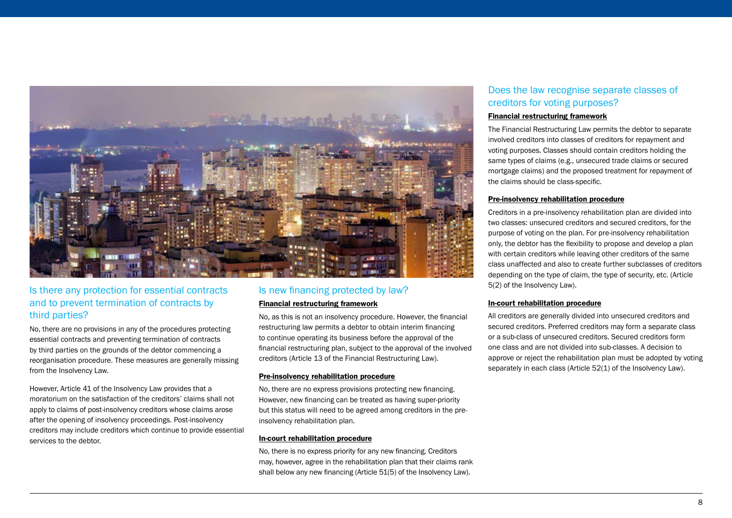

## Is there any protection for essential contracts and to prevent termination of contracts by third parties?

No, there are no provisions in any of the procedures protecting essential contracts and preventing termination of contracts by third parties on the grounds of the debtor commencing a reorganisation procedure. These measures are generally missing from the Insolvency Law.

However, Article 41 of the Insolvency Law provides that a moratorium on the satisfaction of the creditors' claims shall not apply to claims of post-insolvency creditors whose claims arose after the opening of insolvency proceedings. Post-insolvency creditors may include creditors which continue to provide essential services to the debtor.

## Is new financing protected by law?

#### Financial restructuring framework

No, as this is not an insolvency procedure. However, the financial restructuring law permits a debtor to obtain interim financing to continue operating its business before the approval of the financial restructuring plan, subject to the approval of the involved creditors (Article 13 of the Financial Restructuring Law).

#### Pre-insolvency rehabilitation procedure

No, there are no express provisions protecting new financing. However, new financing can be treated as having super-priority but this status will need to be agreed among creditors in the preinsolvency rehabilitation plan.

#### In-court rehabilitation procedure

No, there is no express priority for any new financing. Creditors may, however, agree in the rehabilitation plan that their claims rank shall below any new financing (Article 51(5) of the Insolvency Law).

## Does the law recognise separate classes of creditors for voting purposes?

#### Financial restructuring framework

The Financial Restructuring Law permits the debtor to separate involved creditors into classes of creditors for repayment and voting purposes. Classes should contain creditors holding the same types of claims (e.g., unsecured trade claims or secured mortgage claims) and the proposed treatment for repayment of the claims should be class-specific.

#### Pre-insolvency rehabilitation procedure

Creditors in a pre-insolvency rehabilitation plan are divided into two classes: unsecured creditors and secured creditors, for the purpose of voting on the plan. For pre-insolvency rehabilitation only, the debtor has the flexibility to propose and develop a plan with certain creditors while leaving other creditors of the same class unaffected and also to create further subclasses of creditors depending on the type of claim, the type of security, etc. (Article 5(2) of the Insolvency Law).

#### In-court rehabilitation procedure

All creditors are generally divided into unsecured creditors and secured creditors. Preferred creditors may form a separate class or a sub-class of unsecured creditors. Secured creditors form one class and are not divided into sub-classes. A decision to approve or reject the rehabilitation plan must be adopted by voting separately in each class (Article 52(1) of the Insolvency Law).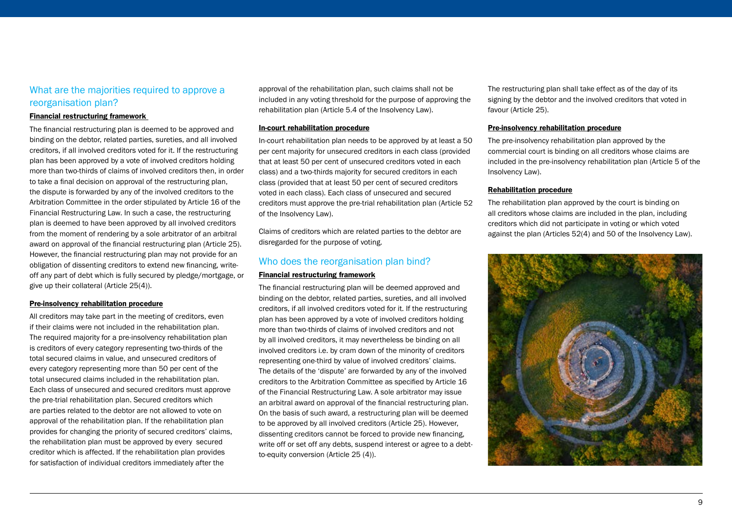## What are the majorities required to approve a reorganisation plan?

#### Financial restructuring framework

The financial restructuring plan is deemed to be approved and binding on the debtor, related parties, sureties, and all involved creditors, if all involved creditors voted for it. If the restructuring plan has been approved by a vote of involved creditors holding more than two-thirds of claims of involved creditors then, in order to take a final decision on approval of the restructuring plan, the dispute is forwarded by any of the involved creditors to the Arbitration Committee in the order stipulated by Article 16 of the Financial Restructuring Law. In such a case, the restructuring plan is deemed to have been approved by all involved creditors from the moment of rendering by a sole arbitrator of an arbitral award on approval of the financial restructuring plan (Article 25). However, the financial restructuring plan may not provide for an obligation of dissenting creditors to extend new financing, writeoff any part of debt which is fully secured by pledge/mortgage, or give up their collateral (Article 25(4)).

#### Pre-insolvency rehabilitation procedure

All creditors may take part in the meeting of creditors, even if their claims were not included in the rehabilitation plan. The required majority for a pre-insolvency rehabilitation plan is creditors of every category representing two-thirds of the total secured claims in value, and unsecured creditors of every category representing more than 50 per cent of the total unsecured claims included in the rehabilitation plan. Each class of unsecured and secured creditors must approve the pre-trial rehabilitation plan. Secured creditors which are parties related to the debtor are not allowed to vote on approval of the rehabilitation plan. If the rehabilitation plan provides for changing the priority of secured creditors' claims, the rehabilitation plan must be approved by every secured creditor which is affected. If the rehabilitation plan provides for satisfaction of individual creditors immediately after the

approval of the rehabilitation plan, such claims shall not be included in any voting threshold for the purpose of approving the rehabilitation plan (Article 5.4 of the Insolvency Law).

#### In-court rehabilitation procedure

In-court rehabilitation plan needs to be approved by at least a 50 per cent majority for unsecured creditors in each class (provided that at least 50 per cent of unsecured creditors voted in each class) and a two-thirds majority for secured creditors in each class (provided that at least 50 per cent of secured creditors voted in each class). Each class of unsecured and secured creditors must approve the pre-trial rehabilitation plan (Article 52 of the Insolvency Law).

Claims of creditors which are related parties to the debtor are disregarded for the purpose of voting.

## Who does the reorganisation plan bind?

#### Financial restructuring framework

The financial restructuring plan will be deemed approved and binding on the debtor, related parties, sureties, and all involved creditors, if all involved creditors voted for it. If the restructuring plan has been approved by a vote of involved creditors holding more than two-thirds of claims of involved creditors and not by all involved creditors, it may nevertheless be binding on all involved creditors i.e. by cram down of the minority of creditors representing one-third by value of involved creditors' claims. The details of the 'dispute' are forwarded by any of the involved creditors to the Arbitration Committee as specified by Article 16 of the Financial Restructuring Law. A sole arbitrator may issue an arbitral award on approval of the financial restructuring plan. On the basis of such award, a restructuring plan will be deemed to be approved by all involved creditors (Article 25). However, dissenting creditors cannot be forced to provide new financing, write off or set off any debts, suspend interest or agree to a debtto-equity conversion (Article 25 (4)).

The restructuring plan shall take effect as of the day of its signing by the debtor and the involved creditors that voted in favour (Article 25).

#### Pre-insolvency rehabilitation procedure

The pre-insolvency rehabilitation plan approved by the commercial court is binding on all creditors whose claims are included in the pre-insolvency rehabilitation plan (Article 5 of the Insolvency Law).

#### Rehabilitation procedure

The rehabilitation plan approved by the court is binding on all creditors whose claims are included in the plan, including creditors which did not participate in voting or which voted against the plan (Articles 52(4) and 50 of the Insolvency Law).

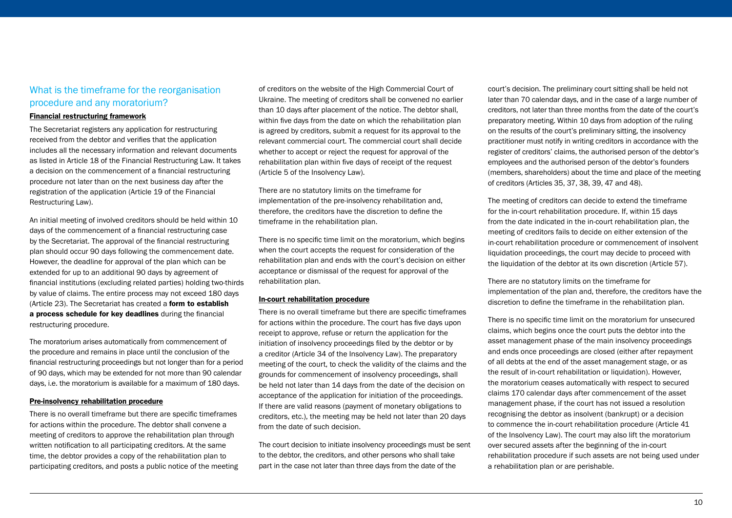## What is the timeframe for the reorganisation procedure and any moratorium?

#### Financial restructuring framework

The Secretariat registers any application for restructuring received from the debtor and verifies that the application includes all the necessary information and relevant documents as listed in Article 18 of the Financial Restructuring Law. It takes a decision on the commencement of a financial restructuring procedure not later than on the next business day after the registration of the application (Article 19 of the Financial Restructuring Law).

An initial meeting of involved creditors should be held within 10 days of the commencement of a financial restructuring case by the Secretariat. The approval of the financial restructuring plan should occur 90 days following the commencement date. However, the deadline for approval of the plan which can be extended for up to an additional 90 days by agreement of financial institutions (excluding related parties) holding two-thirds by value of claims. The entire process may not exceed 180 days (Article 23). The Secretariat has created a form to establish [a process schedule for key deadlines](https://fr.org.ua/ua/zrazki-dokumentiv-dlya-protseduri-finansovoyi.html) during the financial restructuring procedure.

The moratorium arises automatically from commencement of the procedure and remains in place until the conclusion of the financial restructuring proceedings but not longer than for a period of 90 days, which may be extended for not more than 90 calendar days, i.e. the moratorium is available for a maximum of 180 days.

#### Pre-insolvency rehabilitation procedure

There is no overall timeframe but there are specific timeframes for actions within the procedure. The debtor shall convene a meeting of creditors to approve the rehabilitation plan through written notification to all participating creditors. At the same time, the debtor provides a copy of the rehabilitation plan to participating creditors, and posts a public notice of the meeting of creditors on the website of the High Commercial Court of Ukraine. The meeting of creditors shall be convened no earlier than 10 days after placement of the notice. The debtor shall, within five days from the date on which the rehabilitation plan is agreed by creditors, submit a request for its approval to the relevant commercial court. The commercial court shall decide whether to accept or reject the request for approval of the rehabilitation plan within five days of receipt of the request (Article 5 of the Insolvency Law).

There are no statutory limits on the timeframe for implementation of the pre-insolvency rehabilitation and, therefore, the creditors have the discretion to define the timeframe in the rehabilitation plan.

There is no specific time limit on the moratorium, which begins when the court accepts the request for consideration of the rehabilitation plan and ends with the court's decision on either acceptance or dismissal of the request for approval of the rehabilitation plan.

#### In-court rehabilitation procedure

There is no overall timeframe but there are specific timeframes for actions within the procedure. The court has five days upon receipt to approve, refuse or return the application for the initiation of insolvency proceedings filed by the debtor or by a creditor (Article 34 of the Insolvency Law). The preparatory meeting of the court, to check the validity of the claims and the grounds for commencement of insolvency proceedings, shall be held not later than 14 days from the date of the decision on acceptance of the application for initiation of the proceedings. If there are valid reasons (payment of monetary obligations to creditors, etc.), the meeting may be held not later than 20 days from the date of such decision.

The court decision to initiate insolvency proceedings must be sent to the debtor, the creditors, and other persons who shall take part in the case not later than three days from the date of the

court's decision. The preliminary court sitting shall be held not later than 70 calendar days, and in the case of a large number of creditors, not later than three months from the date of the court's preparatory meeting. Within 10 days from adoption of the ruling on the results of the court's preliminary sitting, the insolvency practitioner must notify in writing creditors in accordance with the register of creditors' claims, the authorised person of the debtor's employees and the authorised person of the debtor's founders (members, shareholders) about the time and place of the meeting of creditors (Articles 35, 37, 38, 39, 47 and 48).

The meeting of creditors can decide to extend the timeframe for the in-court rehabilitation procedure. If, within 15 days from the date indicated in the in-court rehabilitation plan, the meeting of creditors fails to decide on either extension of the in-court rehabilitation procedure or commencement of insolvent liquidation proceedings, the court may decide to proceed with the liquidation of the debtor at its own discretion (Article 57).

There are no statutory limits on the timeframe for implementation of the plan and, therefore, the creditors have the discretion to define the timeframe in the rehabilitation plan.

There is no specific time limit on the moratorium for unsecured claims, which begins once the court puts the debtor into the asset management phase of the main insolvency proceedings and ends once proceedings are closed (either after repayment of all debts at the end of the asset management stage, or as the result of in-court rehabilitation or liquidation). However, the moratorium ceases automatically with respect to secured claims 170 calendar days after commencement of the asset management phase, if the court has not issued a resolution recognising the debtor as insolvent (bankrupt) or a decision to commence the in-court rehabilitation procedure (Article 41 of the Insolvency Law). The court may also lift the moratorium over secured assets after the beginning of the in-court rehabilitation procedure if such assets are not being used under a rehabilitation plan or are perishable.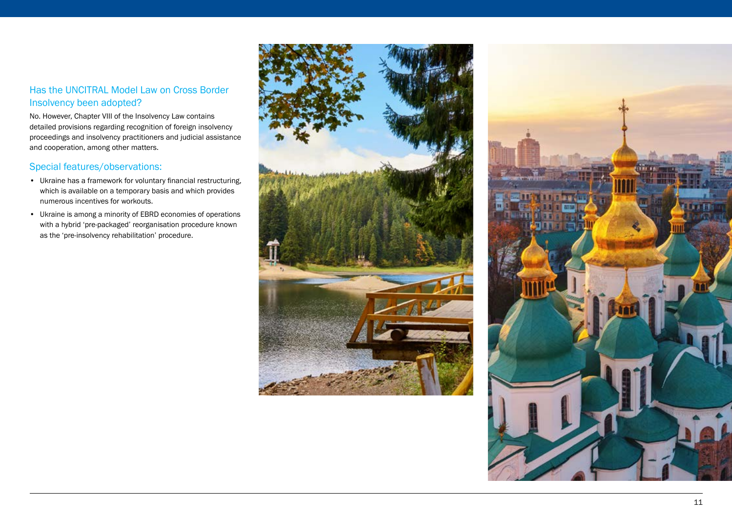## Has the UNCITRAL Model Law on Cross Border Insolvency been adopted?

No. However, Chapter VIII of the Insolvency Law contains detailed provisions regarding recognition of foreign insolvency proceedings and insolvency practitioners and judicial assistance and cooperation, among other matters.

## Special features/observations:

- Ukraine has a framework for voluntary financial restructuring, which is available on a temporary basis and which provides numerous incentives for workouts.
- Ukraine is among a minority of EBRD economies of operations with a hybrid 'pre-packaged' reorganisation procedure known as the 'pre-insolvency rehabilitation' procedure.



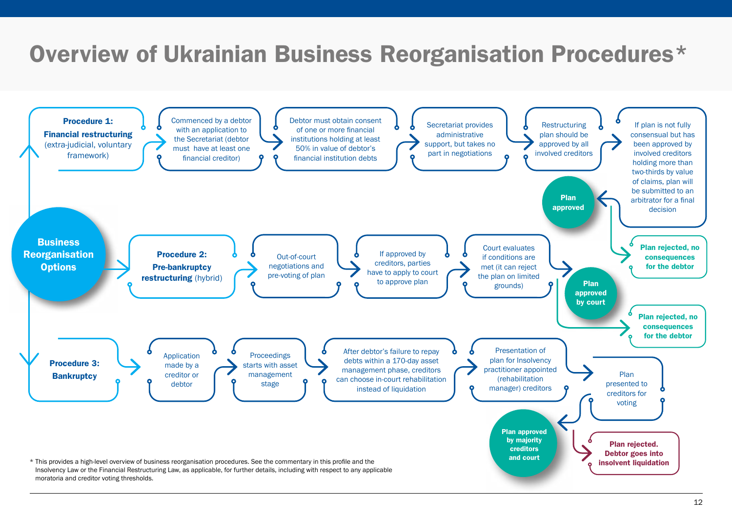## <span id="page-11-0"></span>Overview of Ukrainian Business Reorganisation Procedures\*